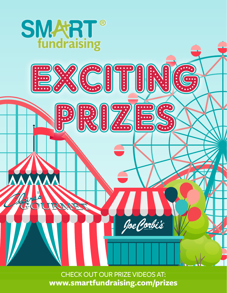

CHECK OUT OUR PRIZE VIDEOS AT: **www.smartfundraising.com/prizes**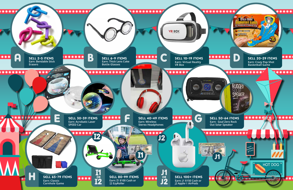